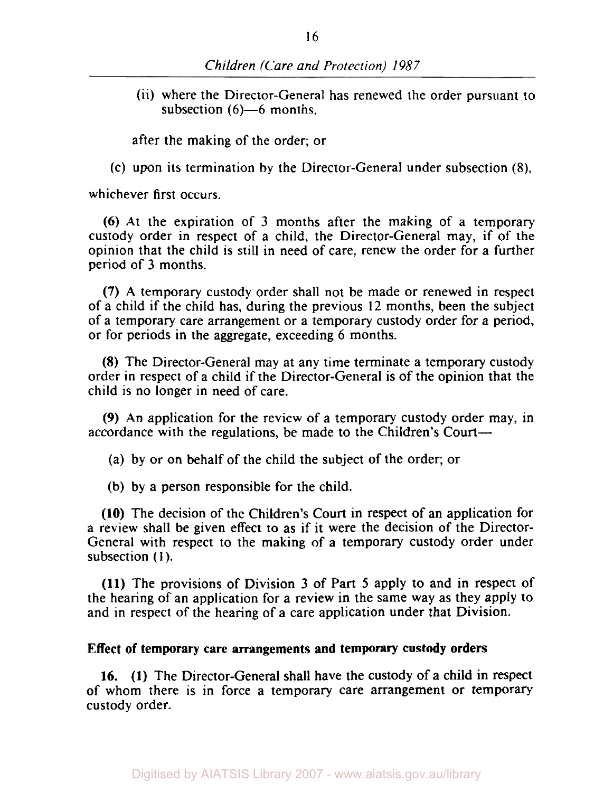(ii) where the Director-General has renewed the order pursuant to subsection  $(6)$ —6 months.

after the making of the order; or

(c) upon its termination by the Director-General under subsection **(8),** 

whichever first occurs.

**(6)** At the expiration of **3** months after the making of a temporary custody order in respect of a child, the Director-General may, if of the opinion that the child is still in need of care, renew the order for a further period of **3** months.

**(7)** A temporary custody order shall not be made or renewed in respect of a child if the child has, during the previous 12 months, been the subject of a temporary care arrangement or a temporary custody order for a period, or for periods in the aggregate, exceeding 6 months.

**(8)** The Director-General may at any time terminate a temporary custody order in respect of a child if the Director-General is of the opinion that the child is no longer in need of care.

**(9)** An application for the review of a temporary custody order may, in accordance with the regulations, be made to the Children's Court-

(a) by or on behalf of the child the subject of the order; or

(b) by a person responsible for the child.

**(10)** The decision of the Children's Court in respect of an application for a review shall be given effect to as if it were the decision of the Director-General with respect to the making of a temporary custody order under subsection (1).

**(11)** The provisions of Division **3** of Part 5 apply to and in respect of the hearing of an application for a review in the same way as they apply to and in respect of the hearing of a care application under that Division.

#### **Effect of temporary care arrangements and temporary custody orders**

**16. (1)** The Director-General shall have the custody of a child in respect of whom there is in force a temporary care arrangement or temporary custody order.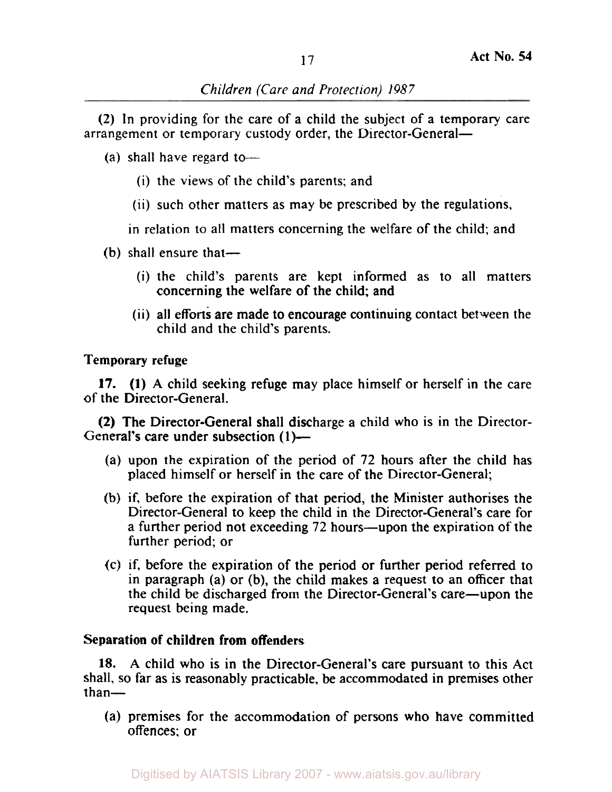# *Children (Care and Protection) 1987*

(2) In providing for the care of a child the subject of a temporary care arrangement or temporary custody order, the Director-General-

- (a) shall have regard to-
	- (i) the views of the child's parents; and
	- (ii) such other matters as may be prescribed by the regulations,

in relation to all matters concerning the welfare of the child; and

- $(b)$  shall ensure that—
	- (i) the child's parents are kept informed as to all matters concerning the welfare of the child; and
	- (ii) all efforts are made to encourage continuing contact between the child and the child's parents.

Temporary refuge

of the Director-General. 17. **(1)** A child seeking refuge may place himself or herself in the care

General's care under subsection (1)-(2) The Director-General shall discharge a child who is in the Director-

- (a) upon the expiration of the period of 72 hours after the child has placed himself or herself in the care of the Director-General;
- (b) if, before the expiration of that period, the Minister authorises the Director-General to keep the child in the Director-General's care for a further period not exceeding 72 hours—upon the expiration of the further period; or
- (c) if, before the expiration of the period or further period referred to in paragraph (a) or (b), the child makes a request to an officer that the child be discharged from the Director-General's care—upon the request being made.

# Separation of children from offenders

**18.** A child who is in the Director-General's care pursuant to this Act shall, so far as is reasonably practicable, be accommodated in premises other  $than-$ 

(a) premises for the accommodation of persons who have committed offences; or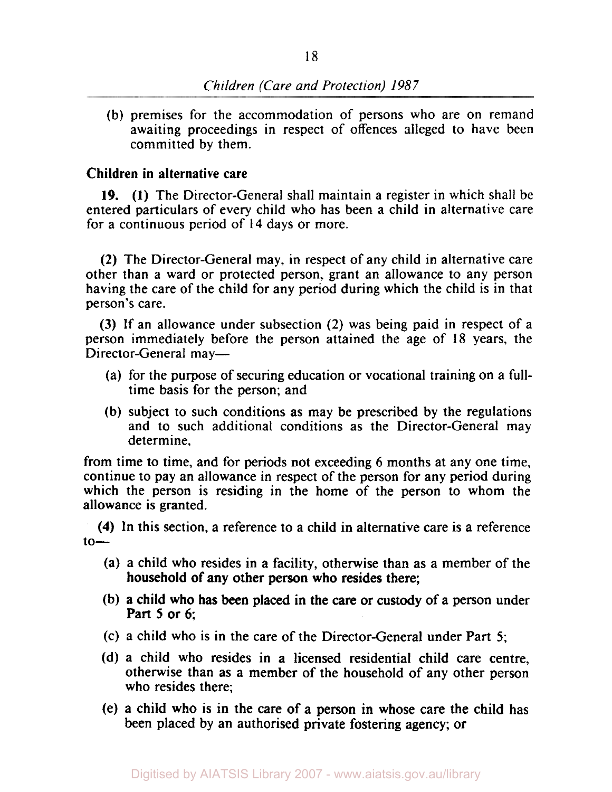# *Children (Care and Protection) 1987*

(b) premises for the accommodation of persons who are on remand awaiting proceedings in respect of offences alleged to have been committed by them.

#### **Children in alternative care**

**(1)** The Director-General shall maintain a register in which shall be **19.**  entered particulars of every child who has been a child in alternative care for a continuous period of **14** days or more.

**(2)** The Director-General may, in respect of any child in alternative care other than a ward or protected person, grant an allowance to any person having the care of the child for any period during which the child is in that person's care.

(3) If an allowance under subsection (2) was being paid in respect of a person immediately before the person attained the age of **18** years, the Director-General may-

- (a) for the purpose of securing education or vocational training on a fulltime basis for the person; and
- (b) subject to such conditions as may be prescribed by the regulations and to such additional conditions as the Director-General may determine,

from time to time, and for periods not exceeding 6 months at any one time, continue to pay an allowance in respect of the person for any period during which the person is residing in the home of the person to whom the allowance is granted.

**(4)** In this section. a reference to a child in alternative care is a reference  $10-$ 

- (a) a child who resides in a facility, otherwise than as a member of the household of any other person who resides there;
- (b) a child who has been placed in the care or custody of a person under Part 5 or 6;
- (c) a child who is in the care of the Director-General under Part 5;
- (d) a child who resides in a licensed residential child care centre, otherwise than as a member of the household of any other person who resides there;
- (e) a child who is in the care of a person in whose care the child has been placed by an authorised private fostering agency; or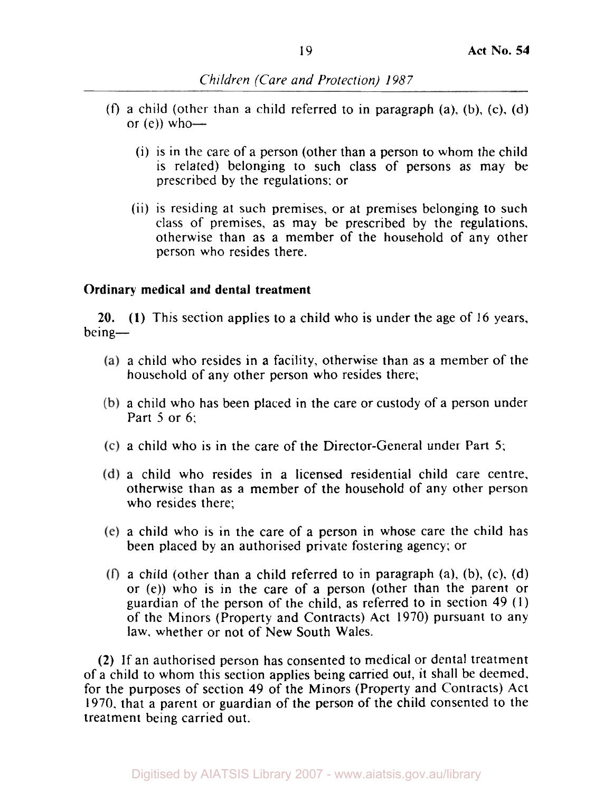- *(f)* a child (other than a child referred to in paragraph (a), (b), (c). (d) or  $(e)$ ) who-
	- (i) is in the care of a person (other than a person to whom the child is related) belonging to such class of persons as may be prescribed by the regulations: or
	- (ii) is residing at such premises, or at premises belonging to such class of premises, as may be prescribed by the regulations, otherwise than as a member of the household of any other person who resides there.

## **Ordinary medical and dental treatment**

**20. (I)** This section applies to a child who is under the age of 16 years, being-

- a child who resides in a facility, otherwise than as a member of the household of any other person who resides there;
- a child who has been placed in the care or custody of a person under Part *5* or 6;
- a child who is in the care of the Director-General under Part 5;
- a child who resides in a licensed residential child care centre, otherwise than as a member of the household of any other person who resides there;
- a child who is in the care of a person in whose care the child has been placed by an authorised private fostering agency: or
- (f) a child (other than a child referred to in paragraph (a), (b), (c), (d) or (e)) who is in the care of a person (other than the parent or guardian of the person of the child, as referred to in section 49 (1) of the Minors (Property and Contracts) Act 1970) pursuant to any law. whether or not of New South Wales.

**(2)** If an authorised person has consented to medical or dental treatment of a child to whom this section applies being carried out, it shall be deemed. for the purposes of section 49 of the Minors (Property and Contracts) Act 1970. that a parent or guardian of the person of the child consented to the treatment being carried out.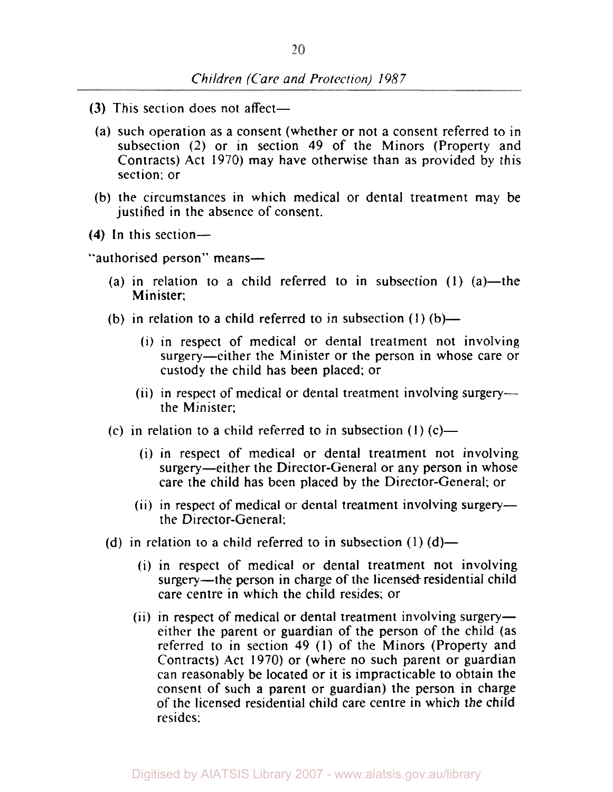- **(3)** This section does not affect—
	- (a) such operation as a consent (whether or not a consent referred to in subsection (2) or in section 49 of the Minors (Property and Contracts) Act 1970) may have otherwise than as provided by this section; or
- (b) the circumstances in which medical or dental treatment may be justified in the absence of consent.
- **(4)** In this section-

"authorised person" means-

- (a) in relation to a child referred to in subsection  $(1)$   $(a)$ —the Minister:
- (b) in relation to a child referred to in subsection  $(1)$  (b)—
	- (i) in respect of medical or dental treatment not involving surgery—either the Minister or the person in whose care or custody the child has been placed; or
	- (ii) in respect of medical or dental treatment involving surgerythe Minister;
- $(c)$  in relation to a child referred to in subsection  $(1)$   $(c)$ 
	- (i) in respect of medical or dental treatment not involving surgery-either the Director-General or any person in whose care the child has been placed by the Director-General; or
	- $(ii)$  in respect of medical or dental treatment involving surgerythe Director-General:
- (d) in relation to a child referred to in subsection  $(1)$   $(d)$ 
	- (i) in respect of medical or dental treatment not involving surgery—the person in charge of the licensed residential child care centre in which the child resides; or
	- (ii) in respect of medical or dental treatment involving surgeryeither the parent or guardian of the person of the child (as referred to in section 49 **(I)** of the Minors (Property and Contracts) Act 1970) or (where no such parent or guardian can reasonably be located or it is impracticable to obtain the consent of such a parent or guardian) the person in charge of the licensed residential child care centre in which the child resides: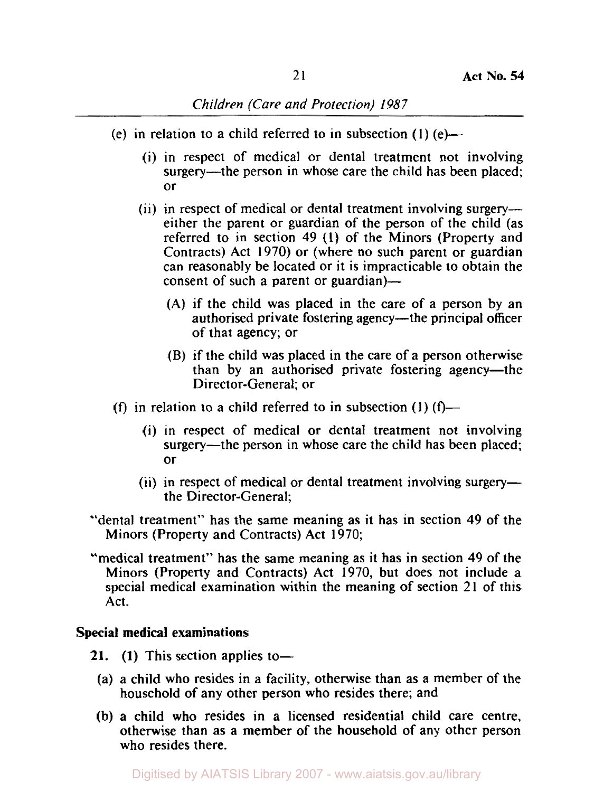- (e) in relation to a child referred to in subsection **(1)** (e)-
	- (i) in respect of medical or dental treatment not involving surgery—the person in whose care the child has been placed; or
	- (ii) in respect of medical or dental treatment involving surgeryeither the parent or guardian of the person of the child (as referred to in section **49 (1)** of the Minors (Property and Contracts) Act **1970)** or (where no such parent or guardian can reasonably be located or it is impracticable **to** obtain the consent of such a parent or guardian)—
		- (A) if the child was placed in the care of a person by an authorised private fostering agency—the principal officer of that agency; or
		- (B) if the child was placed in the care of a person otherwise than by an authorised private fostering agency—the Director-General; or
- (f) in relation to a child referred to in subsection  $(1)$   $(f)$ 
	- (i) in respect of medical or dentaI treatment not involving surgery—the person in whose care the child has been placed; or
	- $(ii)$  in respect of medical or dental treatment involving surgerythe Director-General;
- "dental treatment" has the same meaning as it has in section **49** of the Minors (Property and Contracts) Act **1970;**
- "medical treatment" has the same meaning as it has in section **49** of the Minors (Property and Contracts) Act **1970,** but does not include a special medical examination within the meaning of section 21 of this Act.

### **Special medical examinations**

- **21.** (1) This section applies to-
- (a) a child who resides in a facility, otherwise than as a member of the household of any other person who resides there; and
- (b) a child who resides in a licensed residential child care centre, otherwise than **as** a member of the household of any other person who resides there.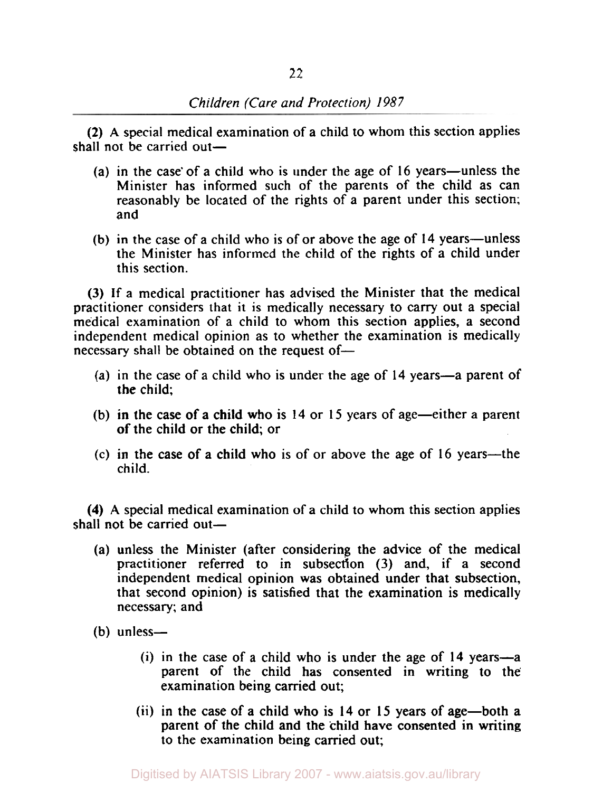**(2) A** special medical examination of a child to whom this section applies shall not be carried out $-$ 

- (a) in the case of a child who is under the age of  $16$  years—unless the Minister has informed such of the parents of the child as can reasonably be located of the rights of a parent under this section; and
- (b) in the case of a child who is of or above the age of **14** years-unless the Minister has informed the child of the rights of a child under this section.

(3) If a medical practitioner has advised the Minister that the medical practitioner considers that it is medically necessary to carry out a special medical examination of a child to whom this section applies, a second independent medical opinion as to whether the examination is medically necessary shall be obtained on the request of-

- (a) in the case of a child who is under the age of **14** years-a parent of the child;
- (b) in the case of a child who is **14** or 15 years of age-either a parent of the child or the child; or
- (c) in the case of a child who is of or above the age of 16 years—the child.

**(4) A** special medical examination of a child to whom this section applies shall not be carried out $-$ 

- (a) unless the Minister (after considering the advice of the medical practitioner referred to in subsection (3) and, if a second independent medical opinion was obtained under that subsection, that second opinion) is satisfied that the examination is medically necessary; and
- (b) unless-
	- (i) in the case of a child who is under the age of **14** years-a parent of the child has consented in writing *to* the examination being carried out;
	- (ii) in the case of **a** child who is **14** or **15** years of age-both a parent of the child and the child have consented in writing to the examination being carried out;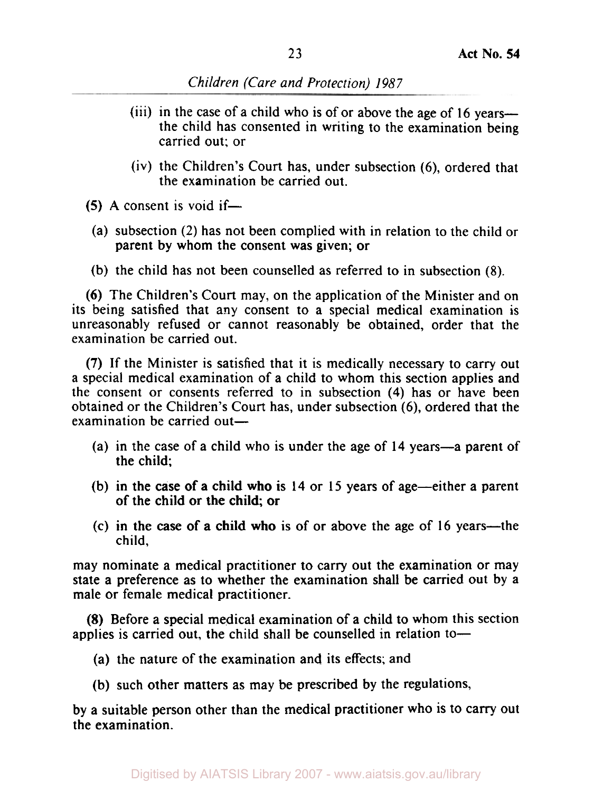- (iii) in the case of a child who is of or above the age of **16** yearsthe child has consented in writing to the examination being carried out; or
- (iv) the Children's Court has, under subsection *(6),* ordered that the examination be carried out.
- *(5)* **A** consent is void if-
	- (a) subsection (2) has not been complied with in relation to the child or parent by whom the consent was given; or
- (b) the child has not been counselled as referred to in subsection **(8).**

**(6)** The Children's Court may, on the application of the Minister and on its being satisfied that any consent to a special medical examination is unreasonably refused or cannot reasonably be obtained, order that the examination be carried out.

**(7)** If the Minister is satisfied that it is medically necessary to carry out a special medical examination of a child to whom this section applies and the consent or consents referred to in subsection **(4)** has or have been obtained or the Children's Court has, under subsection *(6),* ordered that the examination be carried out-

- (a) in the case of a child who is under the age of **14** years-a parent of the child;
- (b) in the case of a child who **is 14** or **15** years of age-either a parent of the child or the child; or
- (c) in the case of a child who is of **or** above the age of **16** years-the child,

may nominate a medical practitioner to carry out the examination or may state a preference as to whether the examination shall be carried out by a male or female medical practitioner.

**(8)** Before **a** special medical examination of a child to whom this section applies is carried out, the child shall be counselled in relation to-

- **(a)** the nature of the examination and its effects; and
- (b) such other matters as may be prescribed by the regulations,

by a suitable person other than the medical practitioner who is to carry out the examination.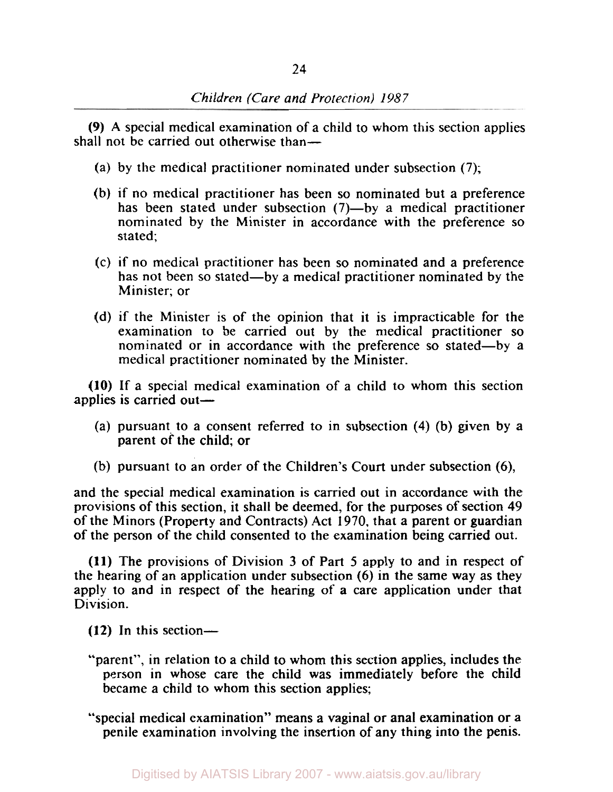(9) **A** special medical examination of a child to whom this section applies shall not be carried out otherwise than—

- (a) by the medical practitioner nominated under subsection (7);
- (b) if no medical practitioner has been so nominated but a preference has been stated under subsection (7)-by a medical practitioner nominated by the Minister in accordance with the preference so stated;
- (c) if no medical practitioner has been so nominated and a preference has not been so stated—by a medical practitioner nominated by the Minister; or
- (d) if the Minister is of the opinion that it is impracticable for the examination to be carried out by the medical practitioner so nominated or in accordance with the preference so stated-by a medical practitioner nominated by the Minister.

(10) If a special medical examination of a child to whom this section applies is carried out-

- (a) pursuant to a consent referred to in subsection **(4)** (b) given by a parent of the child; or
- (b) pursuant to an order of the Children's Court under subsection *(6),*

and the special medical examination is carried out in accordance with the provisions of this section, it shall be deemed, for the purposes of section **49**  of the Minors (Property and Contracts) Act 1970, that a parent or guardian of the person of the child consented to the examination being carried out.

**(11)** The provisions of Division 3 of Part *5* apply to and in respect of the hearing of an application under subsection (6) in the same way as they apply to and in respect of the hearing of a care application under that Division.

**(12)** In this section-

"parent", in relation to a child to whom this section applies, includes the person in whose care the child was immediately before the child became a child to whom this section applies;

"special medical examination" means a vaginal or anal examination or **a**  penile examination involving the insertion of any thing into the penis.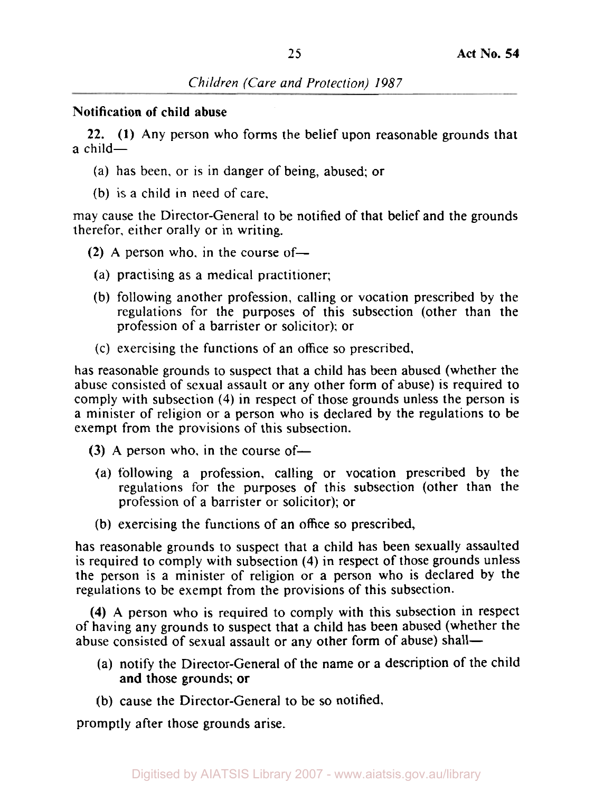### Notification of child **abuse**

22. **(1)** Any person who forms the belief upon reasonable grounds that  $a$  child $-$ 

- (a) has been, or is in danger of being, abused; or
- (b) is a child in need of care.

may cause the Director-General to be notified of that belief and the grounds therefor, either orally or in writing.

- $(2)$  A person who, in the course of-
- (a) practising as a medical practitioner;
- (b) following another profession, calling or vocation prescribed by the regulations for the purposes of this subsection (other than the profession of a barrister or solicitor); or
- (c) exercising the functions of an office so prescribed,

has reasonable grounds to suspect that a child has been abused (whether the abuse consisted of sexual assault or any other form of abuse) is required to comply with subsection **(4)** in respect of those grounds unless the person is a minister of religion or a person who is declared by the regulations to be exempt from the provisions of this subsection.

 $(3)$  A person who, in the course of-

- (a) following a profession, calling or vocation prescribed by the regulations for the purposes of this subsection (other than the profession of a barrister or solicitor); or
- (b) exercising the functions of an office so prescribed,

has reasonable grounds to suspect that a child has been sexually assaulted is required to comply with subsection **(4)** in respect of those grounds unless the person is a minister of religion or a person who is declared by the regulations to be exempt from the provisions of this subsection.

**(4) A** person who is required to comply with this subsection in respect of having any grounds to suspect that a child has been abused (whether the abuse consisted of sexual assault or any other form of abuse) shall—

- (a) notify the Director-General of the name or a description of the child and those grounds; or
- (b) cause the Director-General to be so notified,

promptly after those grounds arise.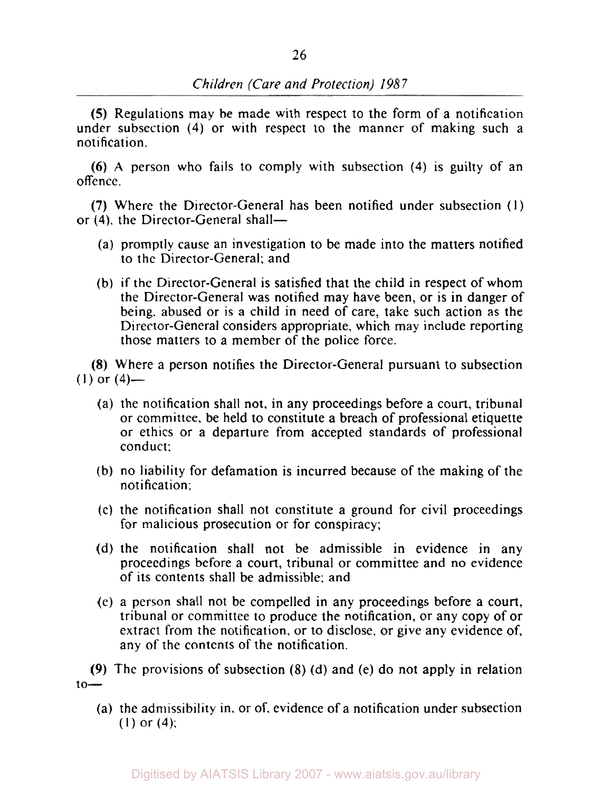*(5)* Regulations may be made with respect to the form of a notification under subsection **(4)** or with respect to the manner of making such a notification.

**(6) A** person who fails to comply with subsection **(4)** is guilty of an offence.

**(7)** Where the Director-General has been notified under subsection (1) or (4). the Director-General shall-

- (a) promptly cause an investigation to be made into the matters notified to the Director-General; and
- (b) if the Director-General is satisfied that the child in respect of whom the Director-General was notified may have been, or is in danger of being. abused or is a child in need of care, take such action as the Director-General considers appropriate, which may include reporting those matters to a member of the police force.

**(8)** Where a person notifies the Director-General pursuant to subsection  $(1)$  or  $(4)$ —

- (a) the notification shall not, in any proceedings before a court, tribunal or committee, be held to constitute a breach of professional etiquette or ethics or a departure from accepted standards of professional conduct;
- (b) no liability for defamation is incurred because of the making of the notification;
- (c) the notification shall not constitute a ground for civil proceedings for malicious prosecution or for conspiracy;
- (d) the notification shall not be admissible in evidence in any proceedings before a court, tribunal or committee and no evidence of its contents shall be admissible; and
- (e) a person shall not be compelled in any proceedings before a court, tribunal or committee to produce the notification, or any copy of or extract from the notification, or **to** disclose, or give any evidence of, any of the contents of the notification.

**(9)** The provisions of subsection **(8)** (d) and (e) do not apply in relation  $to$ 

(a) the admissibility in. or of, evidence of a notification under subsection (1) or **(4);**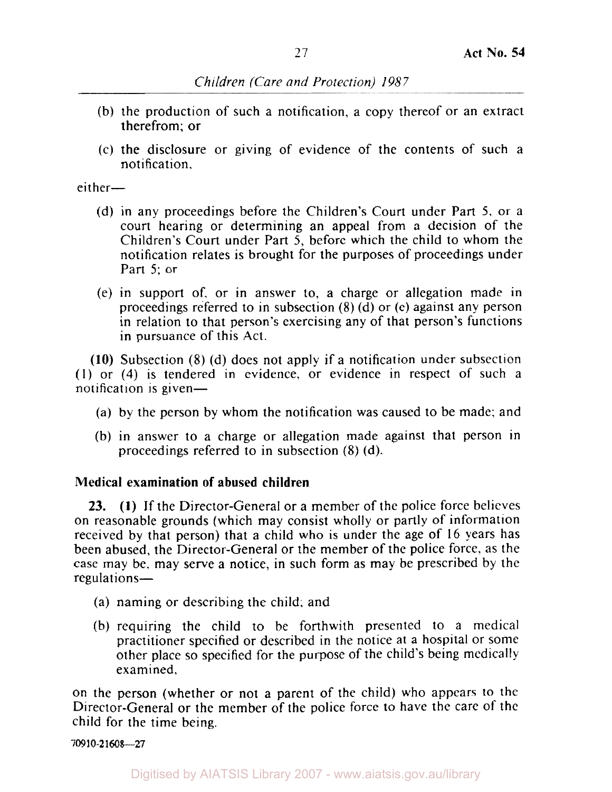- (b) the production of such a notification, a copy thereof or an extract therefrom; or
- (c) the disclosure or giving of evidence of the contents of such a notification,

 $either-$ 

- (d) in any proceedings before the Children's Court under Part *5,* or a court hearing or determining an appeal from a decision of the Children's Court under Part *5,* before which the child to whom the notification relates is brought for the purposes of proceedings under Part *5;* or
- (e) in support of, or in answer to, a charge or allegation made in proceedings referred to in subsection (8) (d) or (e) against any person in relation to that person's exercising any of that person's functions in pursuance of this Act.

**(10)** Subsection (8) (d) does not apply if a notification under subsection (1) or **(4)** is tendered in evidence, or evidence in respect of such a notification is given-

- (a) by the person by whom the notification was caused to be made; and
- (b) in answer to a charge or allegation made against that person in proceedings referred to in subsection (8) (d).

# **Medical examination of abused children**

**(1)** If the Director-General or a member of the police force believes **23.**  on reasonable grounds (which may consist wholly or partly of information received by that person) that a child who is under the age of 16 years has been abused, the Director-General or the member of the police force, as the case may be, may serve a notice, in such form as may be prescribed by the regulations-

- (a) naming or describing the child: and
- (b) requiring the child to be forthwith presented to a medical practitioner specified or described in the notice at a hospital or some other place so specified for the purpose of the child's being medically examined,

on the person (whether or not a parent of the child) who appears to the Director-General or the member of the police force to have the care of the child for the time being.

*709* **10-2 1608-27**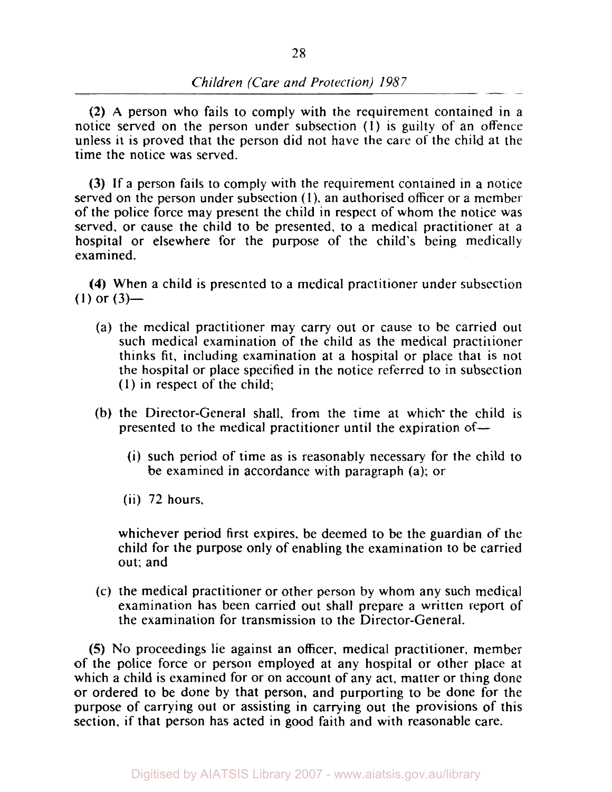(2) **A** person who fails to comply with the requirement contained in a notice served on the person under subsection **(1)** is guilty of an offence unless it is proved that the person did not have the care of the child at the time the notice was served.

(3) If a person fails to comply with the requirement contained in a notice served on the person under subsection **(1).** an authorised officer or a member of the police force may present the child in respect of whom the notice was served, or cause the child to be presented, to a medical practitioner at a hospital or elsewhere for the purpose of the child's being medically examined.

**(4)** When a child is presented to a medical practitioner under subsection  $(1)$  or  $(3)$ —

- (a) the medical practitioner may carry out or cause to be carried out such medical examination of the child as the medical practinoner thinks fit, including examination at a hospital or place that is not the hospital or place specified in the notice referred to in subsection **(1)** in respect of the child;
- (b) the Director-General shall, from the time at which the child is presented to the medical practitioner until the expiration of-
	- (i) such period of time as is reasonably necessary for the child to be examined in accordance with paragraph (a); or
	- (ii) 72 hours,

whichever period first expires. be deemed to be the guardian of the child for the purpose only of enabling the examination to be carried out: and

(c) the medical practitioner or other person by whom any such medical examination has been carried out shall prepare a written report of the examination for transmission to the Director-General.

*(5)* No proceedings lie against an officer, medical practitioner, member of the police force or person employed at any hospital or other place at which a child is examined for or on account of any act, matter or thing done or ordered to be done by that person, and purporting to be done for the purpose of carrying out or assisting in carrying out the provisions of this section, if that person has acted in good faith and with reasonable care.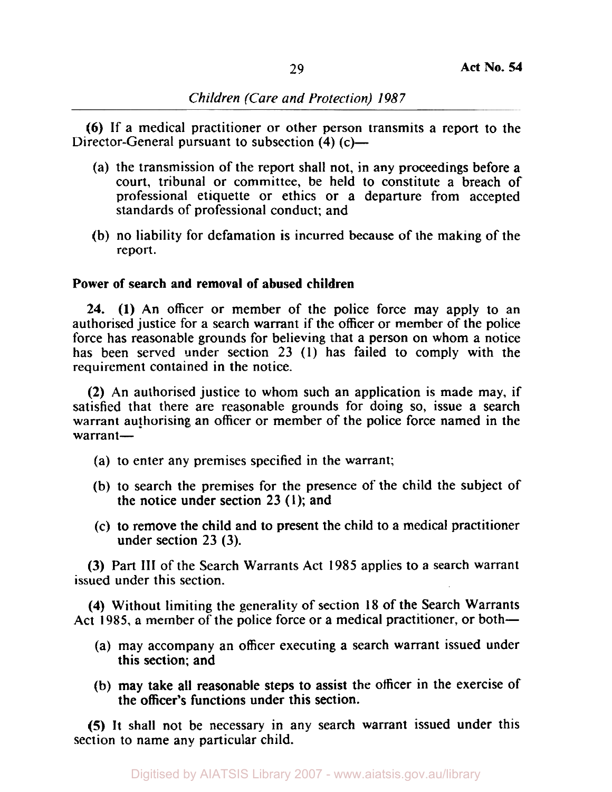**(6)** If a medical practitioner or other person transmits a report to the Director-General pursuant to subsection **(4) (c)**—

- (a) the transmission of the report shall not, in any proceedings before a court, tribunal or committee, be held to constitute a breach of professional etiquette or ethics or a departure from accepted standards of professional conduct; and
- (b) no liability for defamation is incurred because of the making of the report.

# **Power of search and removal of abused children**

**24. (1)** An officer or member of the police force may apply to an authorised justice for a search warrant if the officer or member of the police force has reasonable grounds for believing that a person on whom a notice has been served under section 23 **(1)** has failed to comply with the requirement contained in the notice.

**(2)** An authorised justice to whom such an application is made may, if satisfied that there are reasonable grounds for doing so, issue a search warrant authorising an officer or member of the police force named in the warrant-

- (a) to enter any premises specified in the warrant;
- (b) to search the premises for the presence of the child the subject of the notice under section 23 **(1);** and
- (c) to remove the child and to present the child to a medical practitioner under section 23 (3).

(3) Part III of the Search Warrants Act 1985 applies to a search warrant issued under this section.

**(4)** Without limiting the generality of section **18** of the Search Warrants Act 1985, a member of the police force or a medical practitioner, or both-

- (a) may accompany an officer executing a search warrant issued under this section; and
- (b) may take all reasonable steps to assist the officer in the exercise of the officer's functions under this section.

*(5)* It shall not be necessary in any search warrant issued under this section to name any particular child.